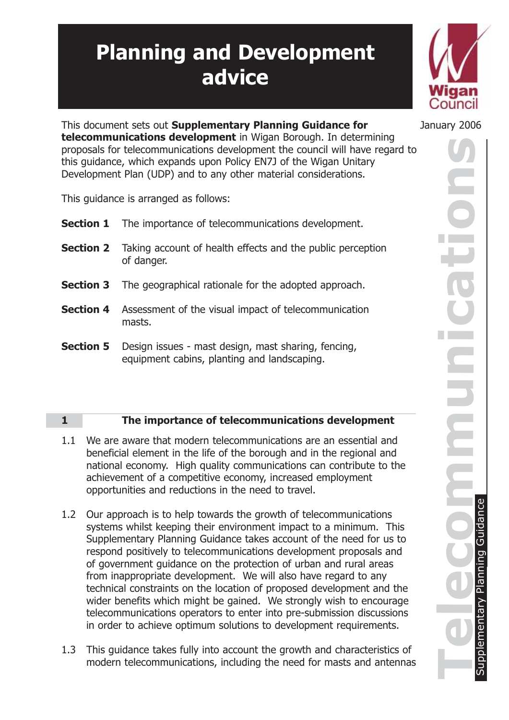# **Planning and Development advice**



This document sets out **Supplementary Planning Guidance for** January 2006 **telecommunications development** in Wigan Borough. In determining proposals for telecommunications development the council will have regard to this guidance, which expands upon Policy EN7J of the Wigan Unitary Development Plan (UDP) and to any other material considerations.

This guidance is arranged as follows:

|                  | <b>Section 1</b> The importance of telecommunications development.                                 |
|------------------|----------------------------------------------------------------------------------------------------|
|                  | <b>Section 2</b> Taking account of health effects and the public perception<br>of danger.          |
| <b>Section 3</b> | The geographical rationale for the adopted approach.                                               |
| <b>Section 4</b> | Assessment of the visual impact of telecommunication<br>masts.                                     |
| <b>Section 5</b> | Design issues - mast design, mast sharing, fencing,<br>equipment cabins, planting and landscaping. |

## **1 The importance of telecommunications development**

- 1.1 We are aware that modern telecommunications are an essential and beneficial element in the life of the borough and in the regional and national economy. High quality communications can contribute to the achievement of a competitive economy, increased employment opportunities and reductions in the need to travel.
- 1.2 Our approach is to help towards the growth of telecommunications systems whilst keeping their environment impact to a minimum. This Supplementary Planning Guidance takes account of the need for us to respond positively to telecommunications development proposals and of government guidance on the protection of urban and rural areas from inappropriate development. We will also have regard to any technical constraints on the location of proposed development and the wider benefits which might be gained. We strongly wish to encourage telecommunications operators to enter into pre-submission discussions in order to achieve optimum solutions to development requirements.
- 1.3 This guidance takes fully into account the growth and characteristics of modern telecommunications, including the need for masts and antennas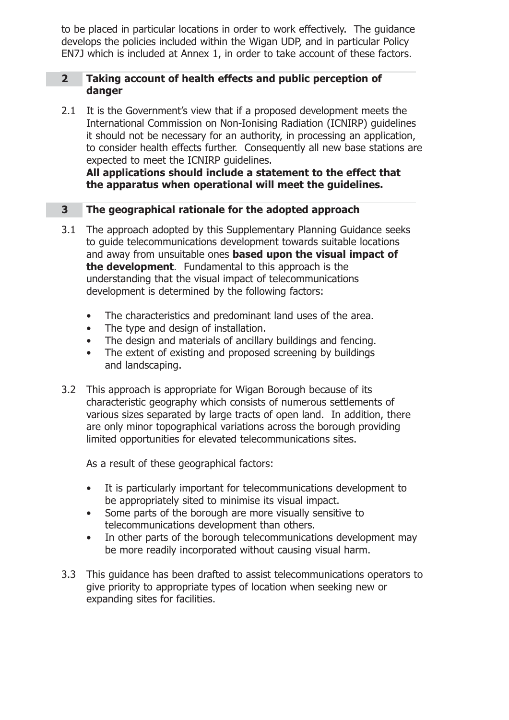to be placed in particular locations in order to work effectively. The guidance develops the policies included within the Wigan UDP, and in particular Policy EN7J which is included at Annex 1, in order to take account of these factors.

#### **2 Taking account of health effects and public perception of danger**

2.1 It is the Government's view that if a proposed development meets the International Commission on Non-Ionising Radiation (ICNIRP) guidelines it should not be necessary for an authority, in processing an application, to consider health effects further. Consequently all new base stations are expected to meet the ICNIRP guidelines.

**All applications should include a statement to the effect that the apparatus when operational will meet the guidelines.**

## **3 The geographical rationale for the adopted approach**

- 3.1 The approach adopted by this Supplementary Planning Guidance seeks to guide telecommunications development towards suitable locations and away from unsuitable ones **based upon the visual impact of the development**. Fundamental to this approach is the understanding that the visual impact of telecommunications development is determined by the following factors:
	- The characteristics and predominant land uses of the area.
	- The type and design of installation.
	- The design and materials of ancillary buildings and fencing.
	- The extent of existing and proposed screening by buildings and landscaping.
- 3.2 This approach is appropriate for Wigan Borough because of its characteristic geography which consists of numerous settlements of various sizes separated by large tracts of open land. In addition, there are only minor topographical variations across the borough providing limited opportunities for elevated telecommunications sites.

As a result of these geographical factors:

- It is particularly important for telecommunications development to be appropriately sited to minimise its visual impact.
- Some parts of the borough are more visually sensitive to telecommunications development than others.
- In other parts of the borough telecommunications development may be more readily incorporated without causing visual harm.
- 3.3 This guidance has been drafted to assist telecommunications operators to give priority to appropriate types of location when seeking new or expanding sites for facilities.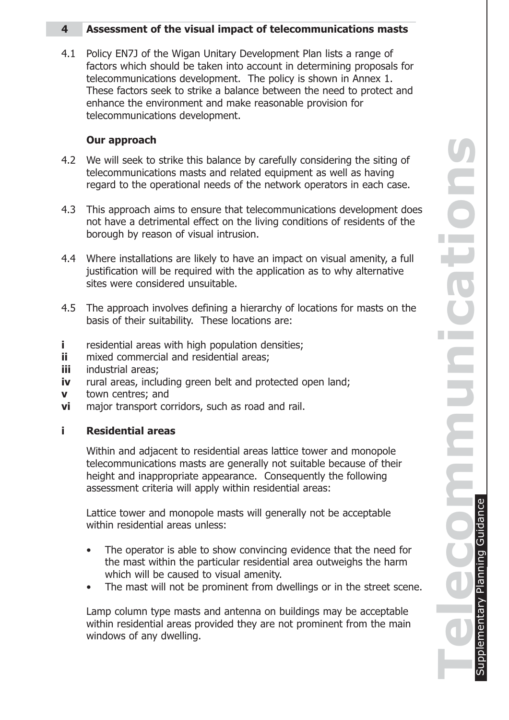## **4 Assessment of the visual impact of telecommunications masts**

4.1 Policy EN7J of the Wigan Unitary Development Plan lists a range of factors which should be taken into account in determining proposals for telecommunications development. The policy is shown in Annex 1. These factors seek to strike a balance between the need to protect and enhance the environment and make reasonable provision for telecommunications development.

## **Our approach**

- 4.2 We will seek to strike this balance by carefully considering the siting of telecommunications masts and related equipment as well as having regard to the operational needs of the network operators in each case.
- 4.3 This approach aims to ensure that telecommunications development does not have a detrimental effect on the living conditions of residents of the borough by reason of visual intrusion.
- 4.4 Where installations are likely to have an impact on visual amenity, a full justification will be required with the application as to why alternative sites were considered unsuitable.
- 4.5 The approach involves defining a hierarchy of locations for masts on the basis of their suitability. These locations are:
- **i** residential areas with high population densities;
- **ii** mixed commercial and residential areas;
- **iii** industrial areas;
- **iv** rural areas, including green belt and protected open land;
- **v** town centres; and
- **vi** major transport corridors, such as road and rail.

## **i Residential areas**

Within and adjacent to residential areas lattice tower and monopole telecommunications masts are generally not suitable because of their height and inappropriate appearance. Consequently the following assessment criteria will apply within residential areas:

Lattice tower and monopole masts will generally not be acceptable within residential areas unless:

- The operator is able to show convincing evidence that the need for the mast within the particular residential area outweighs the harm which will be caused to visual amenity.
- The mast will not be prominent from dwellings or in the street scene.

Lamp column type masts and antenna on buildings may be acceptable within residential areas provided they are not prominent from the main windows of any dwelling.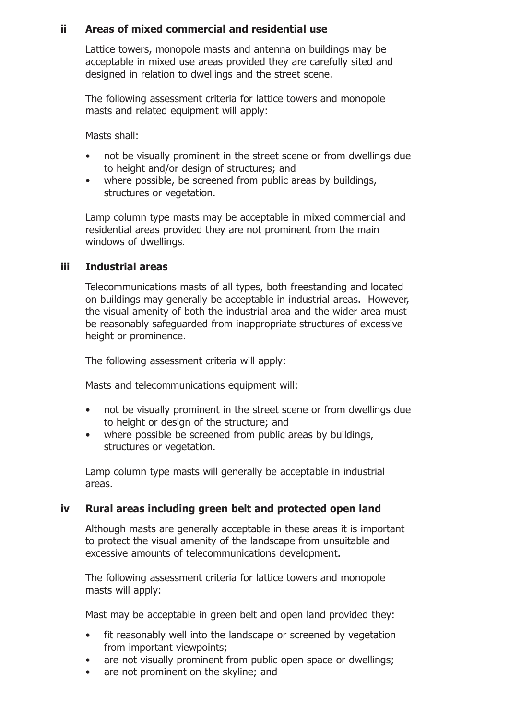## **ii Areas of mixed commercial and residential use**

Lattice towers, monopole masts and antenna on buildings may be acceptable in mixed use areas provided they are carefully sited and designed in relation to dwellings and the street scene.

The following assessment criteria for lattice towers and monopole masts and related equipment will apply:

Masts shall:

- not be visually prominent in the street scene or from dwellings due to height and/or design of structures; and
- where possible, be screened from public areas by buildings, structures or vegetation.

Lamp column type masts may be acceptable in mixed commercial and residential areas provided they are not prominent from the main windows of dwellings.

#### **iii Industrial areas**

Telecommunications masts of all types, both freestanding and located on buildings may generally be acceptable in industrial areas. However, the visual amenity of both the industrial area and the wider area must be reasonably safeguarded from inappropriate structures of excessive height or prominence.

The following assessment criteria will apply:

Masts and telecommunications equipment will:

- not be visually prominent in the street scene or from dwellings due to height or design of the structure; and
- where possible be screened from public areas by buildings, structures or vegetation.

Lamp column type masts will generally be acceptable in industrial areas.

#### **iv Rural areas including green belt and protected open land**

Although masts are generally acceptable in these areas it is important to protect the visual amenity of the landscape from unsuitable and excessive amounts of telecommunications development.

The following assessment criteria for lattice towers and monopole masts will apply:

Mast may be acceptable in green belt and open land provided they:

- fit reasonably well into the landscape or screened by vegetation from important viewpoints;
- are not visually prominent from public open space or dwellings;
- are not prominent on the skyline; and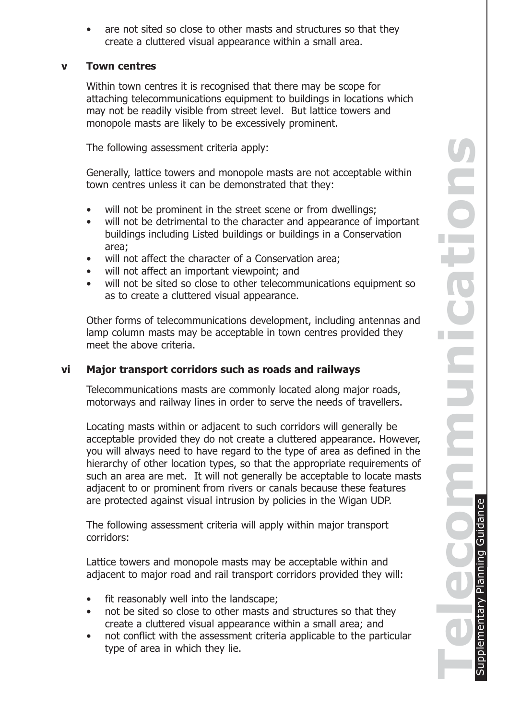are not sited so close to other masts and structures so that they create a cluttered visual appearance within a small area.

#### **v Town centres**

Within town centres it is recognised that there may be scope for attaching telecommunications equipment to buildings in locations which may not be readily visible from street level. But lattice towers and monopole masts are likely to be excessively prominent.

The following assessment criteria apply:

Generally, lattice towers and monopole masts are not acceptable within town centres unless it can be demonstrated that they:

- will not be prominent in the street scene or from dwellings;
- will not be detrimental to the character and appearance of important buildings including Listed buildings or buildings in a Conservation area;
- will not affect the character of a Conservation area;
- will not affect an important viewpoint; and
- will not be sited so close to other telecommunications equipment so as to create a cluttered visual appearance.

Other forms of telecommunications development, including antennas and lamp column masts may be acceptable in town centres provided they meet the above criteria.

#### **vi Major transport corridors such as roads and railways**

Telecommunications masts are commonly located along major roads, motorways and railway lines in order to serve the needs of travellers.

Locating masts within or adjacent to such corridors will generally be acceptable provided they do not create a cluttered appearance. However, you will always need to have regard to the type of area as defined in the hierarchy of other location types, so that the appropriate requirements of such an area are met. It will not generally be acceptable to locate masts adjacent to or prominent from rivers or canals because these features are protected against visual intrusion by policies in the Wigan UDP.

The following assessment criteria will apply within major transport corridors:

Lattice towers and monopole masts may be acceptable within and adjacent to major road and rail transport corridors provided they will:

- fit reasonably well into the landscape;
- not be sited so close to other masts and structures so that they create a cluttered visual appearance within a small area; and
- not conflict with the assessment criteria applicable to the particular type of area in which they lie.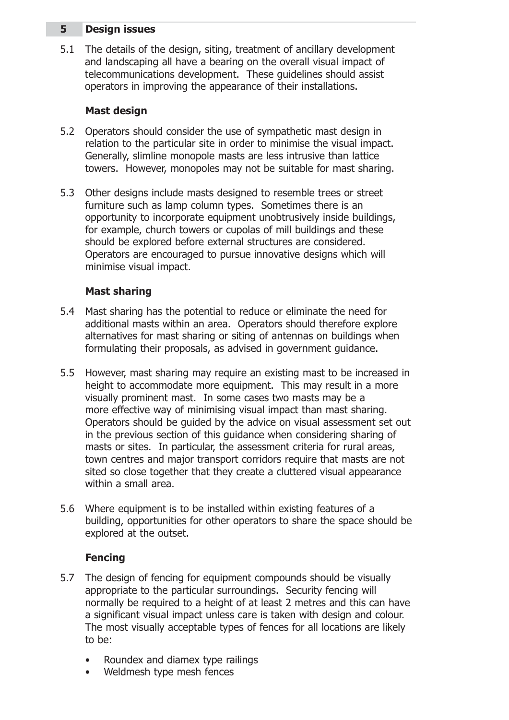## **5 Design issues**

5.1 The details of the design, siting, treatment of ancillary development and landscaping all have a bearing on the overall visual impact of telecommunications development. These guidelines should assist operators in improving the appearance of their installations.

#### **Mast design**

- 5.2 Operators should consider the use of sympathetic mast design in relation to the particular site in order to minimise the visual impact. Generally, slimline monopole masts are less intrusive than lattice towers. However, monopoles may not be suitable for mast sharing.
- 5.3 Other designs include masts designed to resemble trees or street furniture such as lamp column types. Sometimes there is an opportunity to incorporate equipment unobtrusively inside buildings, for example, church towers or cupolas of mill buildings and these should be explored before external structures are considered. Operators are encouraged to pursue innovative designs which will minimise visual impact.

## **Mast sharing**

- 5.4 Mast sharing has the potential to reduce or eliminate the need for additional masts within an area. Operators should therefore explore alternatives for mast sharing or siting of antennas on buildings when formulating their proposals, as advised in government guidance.
- 5.5 However, mast sharing may require an existing mast to be increased in height to accommodate more equipment. This may result in a more visually prominent mast. In some cases two masts may be a more effective way of minimising visual impact than mast sharing. Operators should be guided by the advice on visual assessment set out in the previous section of this guidance when considering sharing of masts or sites. In particular, the assessment criteria for rural areas, town centres and major transport corridors require that masts are not sited so close together that they create a cluttered visual appearance within a small area.
- 5.6 Where equipment is to be installed within existing features of a building, opportunities for other operators to share the space should be explored at the outset.

#### **Fencing**

- 5.7 The design of fencing for equipment compounds should be visually appropriate to the particular surroundings. Security fencing will normally be required to a height of at least 2 metres and this can have a significant visual impact unless care is taken with design and colour. The most visually acceptable types of fences for all locations are likely to be:
	- Roundex and diamex type railings
	- Weldmesh type mesh fences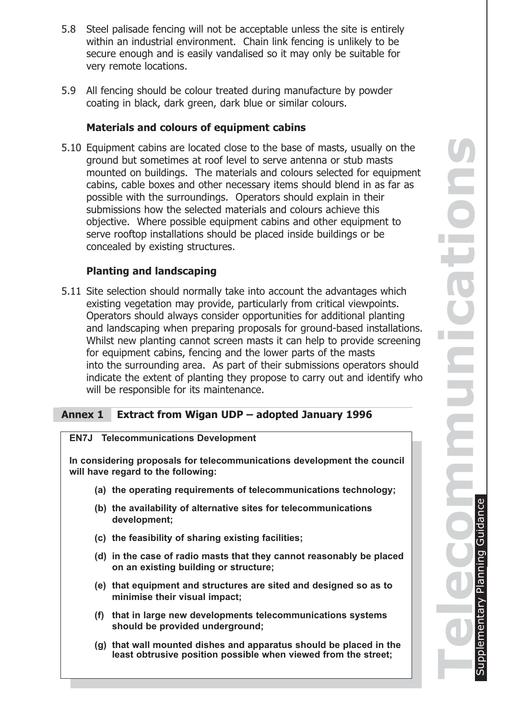- 5.8 Steel palisade fencing will not be acceptable unless the site is entirely within an industrial environment. Chain link fencing is unlikely to be secure enough and is easily vandalised so it may only be suitable for very remote locations.
- 5.9 All fencing should be colour treated during manufacture by powder coating in black, dark green, dark blue or similar colours.

#### **Materials and colours of equipment cabins**

5.10 Equipment cabins are located close to the base of masts, usually on the ground but sometimes at roof level to serve antenna or stub masts mounted on buildings. The materials and colours selected for equipment cabins, cable boxes and other necessary items should blend in as far as possible with the surroundings. Operators should explain in their submissions how the selected materials and colours achieve this objective. Where possible equipment cabins and other equipment to serve rooftop installations should be placed inside buildings or be concealed by existing structures.

#### **Planting and landscaping**

5.11 Site selection should normally take into account the advantages which existing vegetation may provide, particularly from critical viewpoints. Operators should always consider opportunities for additional planting and landscaping when preparing proposals for ground-based installations. Whilst new planting cannot screen masts it can help to provide screening for equipment cabins, fencing and the lower parts of the masts into the surrounding area. As part of their submissions operators should indicate the extent of planting they propose to carry out and identify who will be responsible for its maintenance.

#### **Annex 1 Extract from Wigan UDP – adopted January 1996**

| <b>EN7J</b> Telecommunications Development                                                                    |  |
|---------------------------------------------------------------------------------------------------------------|--|
| In considering proposals for telecommunications development the council<br>will have regard to the following: |  |
| (a) the operating requirements of telecommunications technology;                                              |  |
| (b) the availability of alternative sites for telecommunications<br>development;                              |  |
| (c) the feasibility of sharing existing facilities;                                                           |  |
| (d) in the case of radio masts that they cannot reasonably be placed<br>on an existing building or structure; |  |
| (e) that equipment and structures are sited and designed so as to<br>minimise their visual impact;            |  |
| (f) that in large new developments telecommunications systems<br>should be provided underground;              |  |

**(g) that wall mounted dishes and apparatus should be placed in the least obtrusive position possible when viewed from the street;**